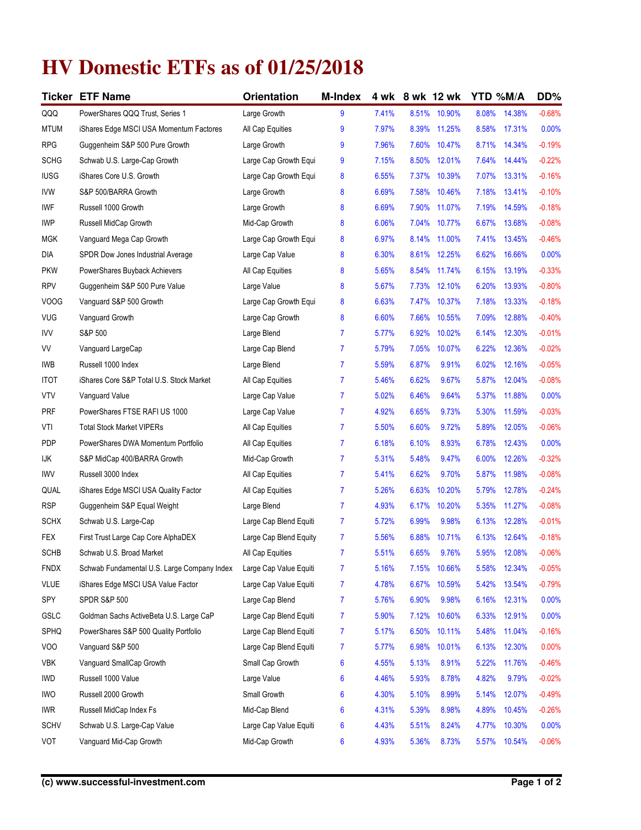## **HV Domestic ETFs as of 01/25/2018**

| Ticker      | <b>ETF Name</b>                             | Orientation            | <b>M-Index</b> | 4 wk  |       | 8 wk 12 wk | YTD %M/A |        | DD%      |
|-------------|---------------------------------------------|------------------------|----------------|-------|-------|------------|----------|--------|----------|
| QQQ         | PowerShares QQQ Trust, Series 1             | Large Growth           | 9              | 7.41% | 8.51% | 10.90%     | 8.08%    | 14.38% | $-0.68%$ |
| <b>MTUM</b> | iShares Edge MSCI USA Momentum Factores     | All Cap Equities       | 9              | 7.97% | 8.39% | 11.25%     | 8.58%    | 17.31% | 0.00%    |
| <b>RPG</b>  | Guggenheim S&P 500 Pure Growth              | Large Growth           | 9              | 7.96% | 7.60% | 10.47%     | 8.71%    | 14.34% | $-0.19%$ |
| <b>SCHG</b> | Schwab U.S. Large-Cap Growth                | Large Cap Growth Equi  | 9              | 7.15% | 8.50% | 12.01%     | 7.64%    | 14.44% | $-0.22%$ |
| <b>IUSG</b> | iShares Core U.S. Growth                    | Large Cap Growth Equi  | 8              | 6.55% | 7.37% | 10.39%     | 7.07%    | 13.31% | $-0.16%$ |
| <b>IVW</b>  | S&P 500/BARRA Growth                        | Large Growth           | 8              | 6.69% | 7.58% | 10.46%     | 7.18%    | 13.41% | $-0.10%$ |
| IWF         | Russell 1000 Growth                         | Large Growth           | 8              | 6.69% | 7.90% | 11.07%     | 7.19%    | 14.59% | $-0.18%$ |
| <b>IWP</b>  | Russell MidCap Growth                       | Mid-Cap Growth         | 8              | 6.06% | 7.04% | 10.77%     | 6.67%    | 13.68% | $-0.08%$ |
| <b>MGK</b>  | Vanguard Mega Cap Growth                    | Large Cap Growth Equi  | 8              | 6.97% | 8.14% | 11.00%     | 7.41%    | 13.45% | $-0.46%$ |
| DIA         | SPDR Dow Jones Industrial Average           | Large Cap Value        | 8              | 6.30% | 8.61% | 12.25%     | 6.62%    | 16.66% | 0.00%    |
| <b>PKW</b>  | PowerShares Buyback Achievers               | All Cap Equities       | 8              | 5.65% | 8.54% | 11.74%     | 6.15%    | 13.19% | $-0.33%$ |
| <b>RPV</b>  | Guggenheim S&P 500 Pure Value               | Large Value            | 8              | 5.67% | 7.73% | 12.10%     | 6.20%    | 13.93% | $-0.80%$ |
| <b>VOOG</b> | Vanguard S&P 500 Growth                     | Large Cap Growth Equi  | 8              | 6.63% | 7.47% | 10.37%     | 7.18%    | 13.33% | $-0.18%$ |
| <b>VUG</b>  | Vanguard Growth                             | Large Cap Growth       | 8              | 6.60% | 7.66% | 10.55%     | 7.09%    | 12.88% | $-0.40%$ |
| <b>IVV</b>  | S&P 500                                     | Large Blend            | $\overline{7}$ | 5.77% | 6.92% | 10.02%     | 6.14%    | 12.30% | $-0.01%$ |
| VV          | Vanguard LargeCap                           | Large Cap Blend        | $\overline{7}$ | 5.79% | 7.05% | 10.07%     | 6.22%    | 12.36% | $-0.02%$ |
| <b>IWB</b>  | Russell 1000 Index                          | Large Blend            | $\overline{7}$ | 5.59% | 6.87% | 9.91%      | 6.02%    | 12.16% | $-0.05%$ |
| <b>ITOT</b> | iShares Core S&P Total U.S. Stock Market    | All Cap Equities       | 7              | 5.46% | 6.62% | 9.67%      | 5.87%    | 12.04% | $-0.08%$ |
| <b>VTV</b>  | Vanguard Value                              | Large Cap Value        | $\overline{7}$ | 5.02% | 6.46% | 9.64%      | 5.37%    | 11.88% | 0.00%    |
| <b>PRF</b>  | PowerShares FTSE RAFI US 1000               | Large Cap Value        | 7              | 4.92% | 6.65% | 9.73%      | 5.30%    | 11.59% | $-0.03%$ |
| VTI         | <b>Total Stock Market VIPERs</b>            | All Cap Equities       | $\overline{7}$ | 5.50% | 6.60% | 9.72%      | 5.89%    | 12.05% | $-0.06%$ |
| <b>PDP</b>  | PowerShares DWA Momentum Portfolio          | All Cap Equities       | 7              | 6.18% | 6.10% | 8.93%      | 6.78%    | 12.43% | 0.00%    |
| IJК         | S&P MidCap 400/BARRA Growth                 | Mid-Cap Growth         | $\overline{7}$ | 5.31% | 5.48% | 9.47%      | 6.00%    | 12.26% | $-0.32%$ |
| <b>IWV</b>  | Russell 3000 Index                          | All Cap Equities       | $\overline{7}$ | 5.41% | 6.62% | 9.70%      | 5.87%    | 11.98% | $-0.08%$ |
| QUAL        | iShares Edge MSCI USA Quality Factor        | All Cap Equities       | 7              | 5.26% | 6.63% | 10.20%     | 5.79%    | 12.78% | $-0.24%$ |
| <b>RSP</b>  | Guggenheim S&P Equal Weight                 | Large Blend            | 7              | 4.93% | 6.17% | 10.20%     | 5.35%    | 11.27% | $-0.08%$ |
| <b>SCHX</b> | Schwab U.S. Large-Cap                       | Large Cap Blend Equiti | $\overline{7}$ | 5.72% | 6.99% | 9.98%      | 6.13%    | 12.28% | $-0.01%$ |
| FEX         | First Trust Large Cap Core AlphaDEX         | Large Cap Blend Equity | 7              | 5.56% | 6.88% | 10.71%     | 6.13%    | 12.64% | $-0.18%$ |
| <b>SCHB</b> | Schwab U.S. Broad Market                    | All Cap Equities       | $\overline{7}$ | 5.51% | 6.65% | 9.76%      | 5.95%    | 12.08% | $-0.06%$ |
| <b>FNDX</b> | Schwab Fundamental U.S. Large Company Index | Large Cap Value Equiti | 7              | 5.16% | 7.15% | 10.66%     | 5.58%    | 12.34% | $-0.05%$ |
| VLUE        | iShares Edge MSCI USA Value Factor          | Large Cap Value Equiti | 7              | 4.78% | 6.67% | 10.59%     | 5.42%    | 13.54% | $-0.79%$ |
| SPY         | <b>SPDR S&amp;P 500</b>                     | Large Cap Blend        | 7              | 5.76% | 6.90% | 9.98%      | 6.16%    | 12.31% | 0.00%    |
| GSLC        | Goldman Sachs ActiveBeta U.S. Large CaP     | Large Cap Blend Equiti | 7              | 5.90% | 7.12% | 10.60%     | 6.33%    | 12.91% | 0.00%    |
| SPHQ        | PowerShares S&P 500 Quality Portfolio       | Large Cap Blend Equiti | 7              | 5.17% | 6.50% | 10.11%     | 5.48%    | 11.04% | $-0.16%$ |
| VOO         | Vanguard S&P 500                            | Large Cap Blend Equiti | 7              | 5.77% | 6.98% | 10.01%     | 6.13%    | 12.30% | 0.00%    |
| <b>VBK</b>  | Vanguard SmallCap Growth                    | Small Cap Growth       | 6              | 4.55% | 5.13% | 8.91%      | 5.22%    | 11.76% | $-0.46%$ |
| <b>IWD</b>  | Russell 1000 Value                          | Large Value            | 6              | 4.46% | 5.93% | 8.78%      | 4.82%    | 9.79%  | $-0.02%$ |
| <b>IWO</b>  | Russell 2000 Growth                         | Small Growth           | 6              | 4.30% | 5.10% | 8.99%      | 5.14%    | 12.07% | $-0.49%$ |
| <b>IWR</b>  | Russell MidCap Index Fs                     | Mid-Cap Blend          | 6              | 4.31% | 5.39% | 8.98%      | 4.89%    | 10.45% | $-0.26%$ |
| <b>SCHV</b> | Schwab U.S. Large-Cap Value                 | Large Cap Value Equiti | 6              | 4.43% | 5.51% | 8.24%      | 4.77%    | 10.30% | 0.00%    |
| VOT         | Vanguard Mid-Cap Growth                     | Mid-Cap Growth         | 6              | 4.93% | 5.36% | 8.73%      | 5.57%    | 10.54% | $-0.06%$ |